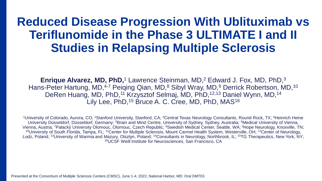# **Reduced Disease Progression With Ublituximab vs Teriflunomide in the Phase 3 ULTIMATE I and II Studies in Relapsing Multiple Sclerosis**

**Enrique Alvarez, MD, PhD,<sup>1</sup> Lawrence Steinman, MD,<sup>2</sup> Edward J. Fox, MD, PhD,<sup>3</sup>** Hans-Peter Hartung, MD,<sup>4-7</sup> Peiging Qian, MD,<sup>8</sup> Sibyl Wray, MD,<sup>9</sup> Derrick Robertson, MD,<sup>10</sup> DeRen Huang, MD, PhD,<sup>11</sup> Krzysztof Selmaj, MD, PhD,<sup>12,13</sup> Daniel Wynn, MD,<sup>14</sup> Lily Lee, PhD,<sup>15</sup> Bruce A. C. Cree, MD, PhD, MAS<sup>16</sup>

<sup>1</sup>University of Colorado, Aurora, CO; <sup>2</sup>Stanford University, Stanford, CA; <sup>3</sup>Central Texas Neurology Consultants, Round Rock, TX; <sup>4</sup>Heinrich Heine University Düsseldorf, Düsseldorf, Germany; <sup>5</sup>Brain and Mind Centre, University of Sydney, Sydney, Australia; <sup>6</sup>Medical University of Vienna, Vienna, Austria; <sup>7</sup>Palacký University Olomouc, Olomouc, Czech Republic; <sup>8</sup>Swedish Medical Center, Seattle, WA; <sup>9</sup>Hope Neurology, Knoxville, TN; <sup>10</sup>University of South Florida, Tampa, FL; <sup>11</sup>Center for Multiple Sclerosis, Mount Carmel Health System, Westerville, OH; <sup>12</sup>Center of Neurology, Lodz, Poland; <sup>13</sup>University of Warmia and Mazury, Olsztyn, Poland; <sup>14</sup>Consultants in Neurology, Northbrook, IL; <sup>15</sup>TG Therapeutics, New York, NY; <sup>16</sup>UCSF Weill Institute for Neurosciences, San Francisco, CA

Presented at the Consortium of Multiple Sclerosis Centers (CMSC), June 1-4, 2022, National Harbor, MD; Oral DMT03.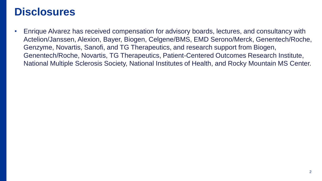## **Disclosures**

• Enrique Alvarez has received compensation for advisory boards, lectures, and consultancy with Actelion/Janssen, Alexion, Bayer, Biogen, Celgene/BMS, EMD Serono/Merck, Genentech/Roche, Genzyme, Novartis, Sanofi, and TG Therapeutics, and research support from Biogen, Genentech/Roche, Novartis, TG Therapeutics, Patient-Centered Outcomes Research Institute, National Multiple Sclerosis Society, National Institutes of Health, and Rocky Mountain MS Center.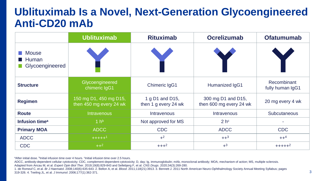## **Ublituximab Is a Novel, Next-Generation Glycoengineered Anti-CD20 mAb**

|                                          | <b>Ublituximab</b>                                | <b>Rituximab</b>                        | <b>Ocrelizumab</b>                            | <b>Ofatumumab</b>               |
|------------------------------------------|---------------------------------------------------|-----------------------------------------|-----------------------------------------------|---------------------------------|
| <b>Mouse</b><br>Human<br>Glycoengineered |                                                   |                                         |                                               |                                 |
| <b>Structure</b>                         | Glycoengineered<br>chimeric IgG1                  | <b>Chimeric IgG1</b>                    | Humanized IgG1                                | Recombinant<br>fully human IgG1 |
| <b>Regimen</b>                           | 150 mg D1, 450 mg D15,<br>then 450 mg every 24 wk | 1 g D1 and D15,<br>then 1 g every 24 wk | 300 mg D1 and D15,<br>then 600 mg every 24 wk | 20 mg every 4 wk                |
| <b>Route</b>                             | <b>Intravenous</b>                                | <b>Intravenous</b>                      | <b>Intravenous</b>                            | <b>Subcutaneous</b>             |
| Infusion time <sup>a</sup>               | 1 h <sup>b</sup>                                  | Not approved for MS                     | 2 <sup>h</sup>                                |                                 |
| <b>Primary MOA</b>                       | <b>ADCC</b>                                       | <b>CDC</b>                              | <b>ADCC</b>                                   | <b>CDC</b>                      |
| <b>ADCC</b>                              | $++++1$                                           | $+^2$                                   | $++^3$                                        | $++^4$                          |
| <b>CDC</b>                               | $++^2$                                            | $+++2$                                  | $+3$                                          | $++++2$                         |

<sup>a</sup>After initial dose. <sup>b</sup>Initial infusion time over 4 hours. <sup>c</sup>Initial infusion time over 2.5 hours.

ADCC, antibody-dependent cellular cytotoxicity; CDC, complement-dependent cytotoxicity; D, day; Ig, immunoglobulin; mAb, monoclonal antibody; MOA, mechanism of action; MS, multiple sclerosis. Adapted from Ancau M, et al. *Expert Opin Biol Ther*. 2019;19(8):829-843 and Sellebjerg F, et al. *CNS Drugs*. 2020;34(3):269-280.

1. de Romeuf C, et al. *Br J Haematol*. 2008;140(6):635-643. 2. Bellon A, et al. *Blood*. 2011;118(21):3913. 3. Bennett J. 2011 North American Neuro-Ophthalmology Society Annual Meeting Syllabus; pages 319-326. 4. Teeling JL, et al. *J Immunol*. 2006;177(1):362-371. 3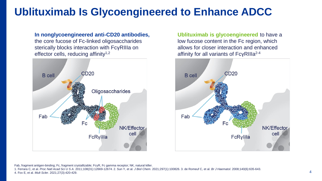# **Ublituximab Is Glycoengineered to Enhance ADCC**

**In nonglycoengineered anti-CD20 antibodies,**  the core fucose of Fc-linked oligosaccharides sterically blocks interaction with FcγRIIIa on effector cells, reducing affinity<sup>1,2</sup>



**Ublituximab is glycoengineered** to have a low fucose content in the Fc region, which allows for closer interaction and enhanced affinity for all variants of FcγRIIIa2-4



Fab, fragment antigen-binding; Fc, fragment crystallizable; FcγR, Fc gamma receptor; NK, natural killer.

1. Ferrara C, et al. *Proc Natl Acad Sci U S A*. 2011;108(31):12669-12674. 2. Sun Y, et al. *J Biol Chem*. 2021;297(1):100826. 3. de Romeuf C, et al. *Br J Haematol*. 2008;140(6):635-643. 4. Fox E, et al. *Mult Scler*. 2021;27(3):420-429. 4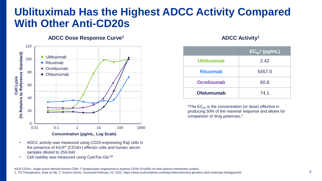## **Ublituximab Has the Highest ADCC Activity Compared With Other Anti-CD20s**

**ADCC Dose Response Curve<sup>1</sup>**



- ADCC activity was measured using CD20-expressing Raji cells in the presence of KILR® (CD16+) effector cells and human serum samples diluted to 250-fold
- Cell viability was measured using CytoTox-Glo™

#### **ADCC Activity<sup>1</sup>**

|                    | $EC_{50}$ <sup>a</sup> (pg/mL) |  |
|--------------------|--------------------------------|--|
| <b>Ublituximab</b> | 2.42                           |  |
| <b>Rituximab</b>   | 5457.0                         |  |
| <b>Ocrelizumab</b> | 60.8                           |  |
| <b>Ofatumumab</b>  | 74.1                           |  |

<sup>a</sup>The  $EC_{50}$  is the concentration (or dose) effective in producing 50% of the maximal response and allows for comparison of drug potencies.<sup>2</sup>

KILR CD16+, single donor-derived human CD8+ T-lymphocytes engineered to express CD16 (FcγRIII) on their plasma membrane surface. 1. TG Therapeutics. Data on file. 2. Science Direct. Accessed February 10, 2022. https://www.sciencedirect.com/topics/biochemistry-genetics-and-molecular-biology/ec50.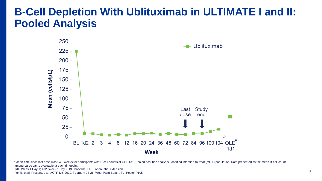## **B-Cell Depletion With Ublituximab in ULTIMATE I and II: Pooled Analysis**



aMean time since last dose was 54.8 weeks for participants with B-cell counts at OLE 1d1. Pooled post hoc analysis. Modified intention-to-treat (mITT) population. Data presented as the mean B-cell count among participants evaluable at each timepoint.

1d1, Week 1 Day 1; 1d2, Week 1 Day 2; BL, baseline; OLE, open-label extension.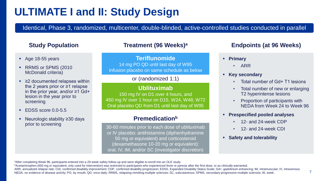# **ULTIMATE I and II: Study Design**

Identical, Phase 3, randomized, multicenter, double-blinded, active-controlled studies conducted in parallel

#### **Study Population**

- Age 18-55 years
- RRMS or SPMS (2010) McDonald criteria)
- $\geq$  2 documented relapses within the 2 years prior or ≥1 relapse in the prior year, and/or ≥1 Gd+ lesion in the year prior to screening
- EDSS score 0.0-5.5
- Neurologic stability ≥30 days prior to screening

#### **Treatment (96 Weeks)<sup>a</sup>**

**Teriflunomide** 14 mg PO QD until last day of W95 Infusion placebo on same schedule as below

#### or (randomized 1:1)

#### **Ublituximab**

150 mg IV on D1 over 4 hours, and 450 mg IV over 1 hour on D15, W24, W48, W72 Oral placebo QD from D1 until last day of W95

#### **Premedication<sup>b</sup>**

30-60 minutes prior to each dose of ublituximab or IV placebo: antihistamine (diphenhydramine 50 mg or equivalent) and corticosteroid (dexamethasone 10-20 mg or equivalent): oral, IV, IM, and/or SC (investigator discretion)

#### **Endpoints (at 96 Weeks)**

- **Primary**
	- ARR
- **Key secondary**
	- Total number of Gd+ T1 lesions
	- Total number of new or enlarging T2 hyperintense lesions
	- Proportion of participants with NEDA from Week 24 to Week 96
- **Prespecified pooled analyses**
	- 12- and 24-week CDP
	- 12- and 24-week CDI
- **Safety and tolerability**

aAfter completing Week 96, participants entered into a 20-week safety follow-up and were eligible to enroll into an OLE study.

**bAcetaminophen (650 mg or equivalent; only used for intervention) was restricted to participants who experienced fever or pyrexia after the first dose, or as clinically warranted.** 

ARR, annualized relapse rate; CDI, confirmed disability improvement; CDP, confirmed disability progression; EDSS, Expanded Disability Status Scale; Gd+, gadolinium-enhancing; IM, intramuscular; IV, intravenous; NEDA, no evidence of disease activity; PO, by mouth; QD, once daily; RRMS, relapsing-remitting multiple sclerosis; SC, subcutaneous; SPMS, secondary-progressive multiple sclerosis; W, week.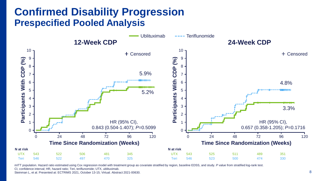### **Confirmed Disability Progression Prespecified Pooled Analysis**



mITT population. Hazard ratio estimated using Cox regression model with treatment group as covariate stratified by region, baseline EDSS, and study. P value from stratified log-rank test. CI, confidence interval; HR, hazard ratio; Teri, teriflunomide; UTX, ublituximab.

Steinman L, et al. Presented at: ECTRIMS 2021, October 13-15; Virtual. Abstract 2021-00630.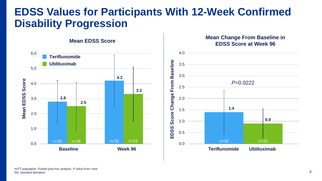## **EDSS Values for Participants With 12-Week Confirmed Disability Progression**

**Mean EDSS Score** 





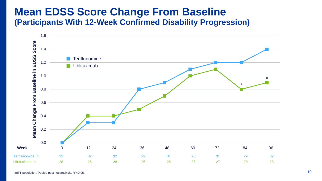### **Mean EDSS Score Change From Baseline (Participants With 12-Week Confirmed Disability Progression)**

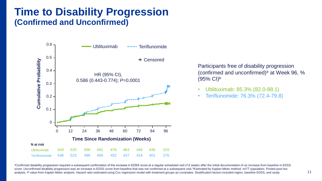### **Time to Disability Progression (Confirmed and Unconfirmed)**



Participants free of disability progression (confirmed and unconfirmed)<sup>a</sup> at Week 96,  $%$  $(95% \text{ Cl})^b$ 

- Ublituximab: 85.3% (82.0-88.1)
- Teriflunomide: 76.3% (72.4-79.8)

aConfirmed disability progression required a subsequent confirmation of the increase in EDSS score at a regular scheduled visit ≥12 weeks after the initial documentation of an increase from baseline in EDSS score. Unconfirmed disability progression was an increase in EDSS score from baseline that was not confirmed at a subsequent visit. **Extimated by Kaplan-Meier method. mITT population.** Pooled post hoc analysis. P value from Kaplan-Meier analysis. Hazard ratio estimated using Cox regression model with treatment groups as covariates. Stratification factors included region, baseline EDSS, and study. 11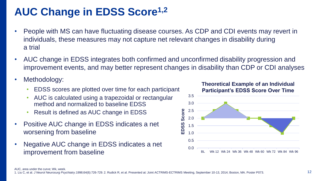# **AUC Change in EDSS Score1,2**

- People with MS can have fluctuating disease courses. As CDP and CDI events may revert in individuals, these measures may not capture net relevant changes in disability during a trial
- AUC change in EDSS integrates both confirmed and unconfirmed disability progression and improvement events, and may better represent changes in disability than CDP or CDI analyses
- Methodology:
	- EDSS scores are plotted over time for each participant
	- AUC is calculated using a trapezoidal or rectangular method and normalized to baseline EDSS
	- Result is defined as AUC change in EDSS
- Positive AUC change in EDSS indicates a net worsening from baseline
- Negative AUC change in EDSS indicates a net improvement from baseline

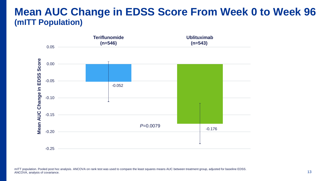### **Mean AUC Change in EDSS Score From Week 0 to Week 96 (mITT Population)**



mITT population. Pooled post hoc analysis. ANCOVA on rank test was used to compare the least squares means AUC between treatment group, adjusted for baseline EDSS. ANCOVA, analysis of covariance. 13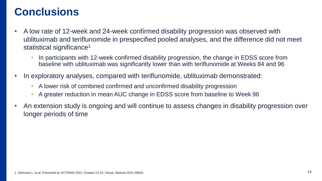# **Conclusions**

- A low rate of 12-week and 24-week confirmed disability progression was observed with ublituximab and teriflunomide in prespecified pooled analyses, and the difference did not meet statistical significance<sup>1</sup>
	- In participants with 12-week confirmed disability progression, the change in EDSS score from baseline with ublituximab was significantly lower than with teriflunomide at Weeks 84 and 96
- In exploratory analyses, compared with teriflunomide, ublituximab demonstrated:
	- A lower risk of combined confirmed and unconfirmed disability progression
	- A greater reduction in mean AUC change in EDSS score from baseline to Week 96
- An extension study is ongoing and will continue to assess changes in disability progression over longer periods of time